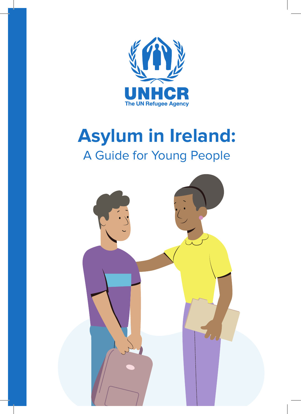

# **Asylum in Ireland:**  A Guide for Young People

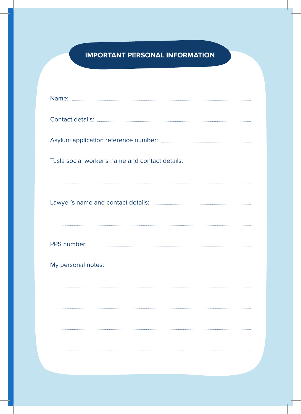## **IMPORTANT PERSONAL INFORMATION**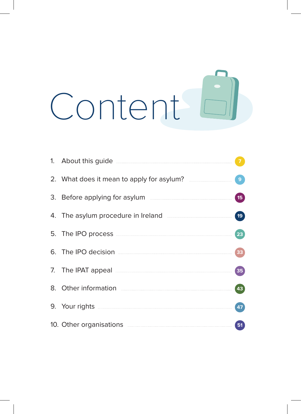# Content d

| 1. About this guide <b>Commission Contract of August</b> 2                                                                                                                                                                           |                                   |
|--------------------------------------------------------------------------------------------------------------------------------------------------------------------------------------------------------------------------------------|-----------------------------------|
| 2. What does it mean to apply for asylum? <u></u> 9                                                                                                                                                                                  |                                   |
| 3. Before applying for asylum <b>contained a sylum</b> and some applying for asylum                                                                                                                                                  | (15)                              |
| 4. The asylum procedure in Ireland <b>Election Contract 19</b>                                                                                                                                                                       |                                   |
| 5. The IPO process <b><u>and a second contract a</u></b> 23                                                                                                                                                                          |                                   |
|                                                                                                                                                                                                                                      |                                   |
| 7. The IPAT appeal <u><b>and the Commission Commission and Tenant Commission (35</b></u>                                                                                                                                             |                                   |
| 8. Other information <b>contained</b> and the contract of the contract of the contract of the contract of the contract of the contract of the contract of the contract of the contract of the contract of the contract of the contr  | $\begin{array}{c} 43 \end{array}$ |
| 9. Your rights <b>contract to the contract of the contract of the contract of the contract of the contract of the contract of the contract of the contract of the contract of the contract of the contract of the contract of th</b> | $\begin{array}{c} 47 \end{array}$ |
| 10. Other organisations <b>Manual Community</b> 61                                                                                                                                                                                   |                                   |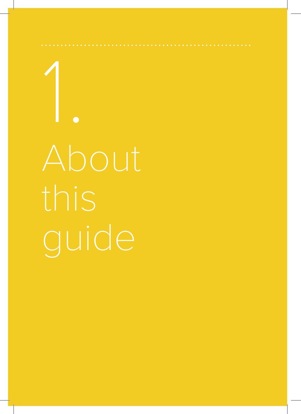1. About this guide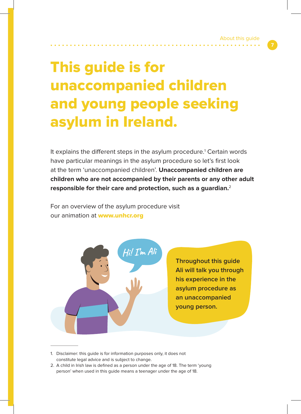# This guide is for unaccompanied children and young people seeking asylum in Ireland.

It explains the different steps in the asylum procedure.<sup>1</sup> Certain words have particular meanings in the asylum procedure so let's first look at the term 'unaccompanied children'. **Unaccompanied children are children who are not accompanied by their parents or any other adult responsible for their care and protection, such as a guardian.**<sup>2</sup>

For an overview of the asylum procedure visit our animation at **www.unhcr.org** 



- 1.  Disclaimer: this guide is for information purposes only, it does not constitute legal advice and is subject to change.
- 2.  A child in Irish law is defined as a person under the age of 18. The term 'young person' when used in this guide means a teenager under the age of 18.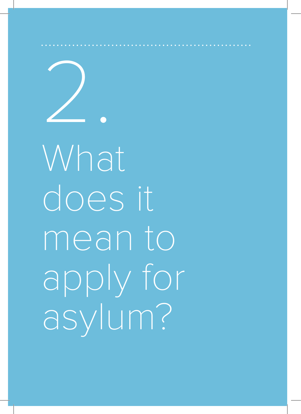2. What does it mean to apply for asylum?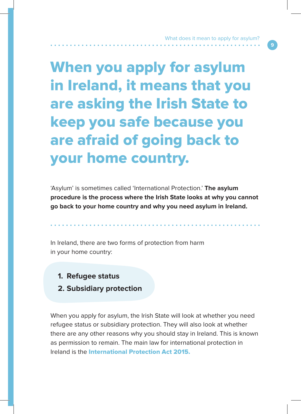When you apply for asylum in Ireland, it means that you are asking the Irish State to keep you safe because you are afraid of going back to your home country.

'Asylum' is sometimes called 'International Protection.' **The asylum procedure is the process where the Irish State looks at why you cannot go back to your home country and why you need asylum in Ireland.**

In Ireland, there are two forms of protection from harm in your home country:

- **1. Refugee status**
- **2. Subsidiary protection**

When you apply for asylum, the Irish State will look at whether you need refugee status or subsidiary protection. They will also look at whether there are any other reasons why you should stay in Ireland. This is known as permission to remain. The main law for international protection in Ireland is the International Protection Act 2015.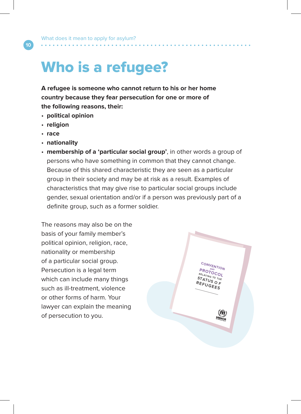# Who is a refugee?

**A refugee is someone who cannot return to his or her home country because they fear persecution for one or more of the following reasons, their:**

- **political opinion**
- **religion**
- **race**
- **nationality**
- **membership of a 'particular social group'**, in other words a group of persons who have something in common that they cannot change. Because of this shared characteristic they are seen as a particular group in their society and may be at risk as a result. Examples of characteristics that may give rise to particular social groups include gender, sexual orientation and/or if a person was previously part of a definite group, such as a former soldier.

The reasons may also be on the basis of your family member's political opinion, religion, race, nationality or membership of a particular social group. Persecution is a legal term which can include many things such as ill-treatment, violence or other forms of harm. Your lawyer can explain the meaning of persecution to you.

**CONVENTION PROTOCOL STAT US O <sup>F</sup> RELATING TO THE REF UGEES**

 $\left( n\right)$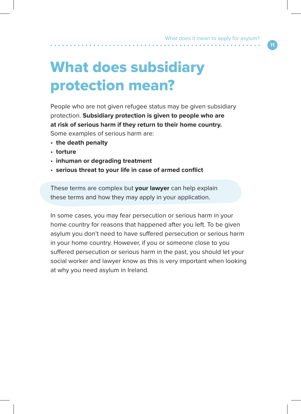# What does subsidiary protection mean?

People who are not given refugee status may be given subsidiary protection. **Subsidiary protection is given to people who are at risk of serious harm if they return to their home country.** Some examples of serious harm are:

- **the death penalty**
- **torture**
- **inhuman or degrading treatment**
- **serious threat to your life in case of armed conflict**

These terms are complex but **your lawyer** can help explain these terms and how they may apply in your application.

In some cases, you may fear persecution or serious harm in your home country for reasons that happened after you left. To be given asylum you don't need to have suffered persecution or serious harm in your home country. However, if you or someone close to you suffered persecution or serious harm in the past, you should let your social worker and lawyer know as this is very important when looking at why you need asylum in Ireland.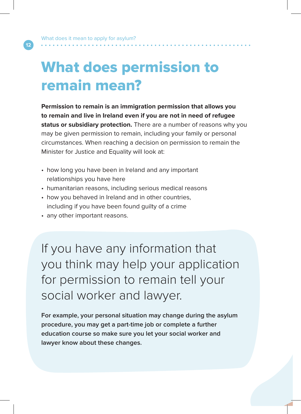# What does permission to remain mean?

**Permission to remain is an immigration permission that allows you to remain and live in Ireland even if you are not in need of refugee status or subsidiary protection.** There are a number of reasons why you may be given permission to remain, including your family or personal circumstances. When reaching a decision on permission to remain the Minister for Justice and Equality will look at:

- how long you have been in Ireland and any important relationships you have here
- humanitarian reasons, including serious medical reasons
- how you behaved in Ireland and in other countries, including if you have been found guilty of a crime
- any other important reasons.

If you have any information that you think may help your application for permission to remain tell your social worker and lawyer.

**For example, your personal situation may change during the asylum procedure, you may get a part-time job or complete a further education course so make sure you let your social worker and lawyer know about these changes.**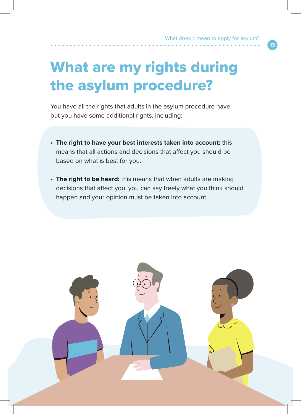# What are my rights during the asylum procedure?

You have all the rights that adults in the asylum procedure have but you have some additional rights, including:

- **The right to have your best interests taken into account:** this means that all actions and decisions that affect you should be based on what is best for you.
- **The right to be heard:** this means that when adults are making decisions that affect you, you can say freely what you think should happen and your opinion must be taken into account.

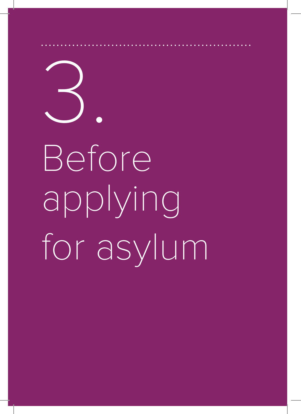3. Before applying for asylum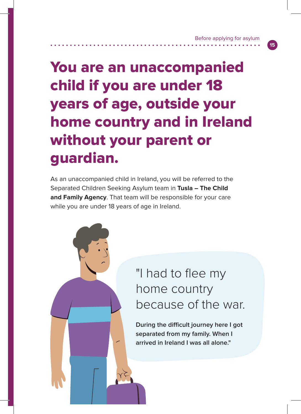# You are an unaccompanied child if you are under 18 years of age, outside your home country and in Ireland without your parent or guardian.

As an unaccompanied child in Ireland, you will be referred to the Separated Children Seeking Asylum team in **Tusla – The Child and Family Agency**. That team will be responsible for your care while you are under 18 years of age in Ireland.



**During the difficult journey here I got separated from my family. When I arrived in Ireland I was all alone."**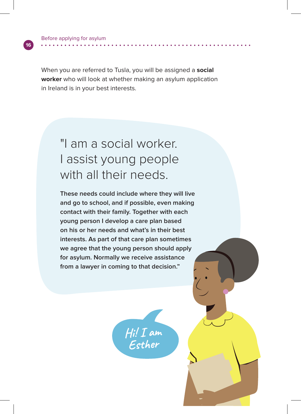When you are referred to Tusla, you will be assigned a **social worker** who will look at whether making an asylum application in Ireland is in your best interests.

# "I am a social worker. I assist young people with all their needs.

**These needs could include where they will live and go to school, and if possible, even making contact with their family. Together with each young person I develop a care plan based on his or her needs and what's in their best interests. As part of that care plan sometimes we agree that the young person should apply for asylum. Normally we receive assistance from a lawyer in coming to that decision."**

Hi! I am<br>Esther

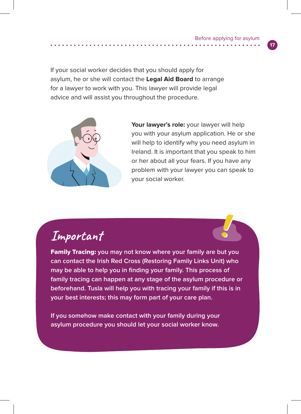If your social worker decides that you should apply for asylum, he or she will contact the **Legal Aid Board** to arrange for a lawyer to work with you. This lawyer will provide legal advice and will assist you throughout the procedure.



**Your lawyer's role:** your lawyer will help you with your asylum application. He or she will help to identify why you need asylum in Ireland. It is important that you speak to him or her about all your fears. If you have any problem with your lawyer you can speak to your social worker.

## **Important**

Family Tracing: **you may not know where your family are but you can contact the Irish Red Cross (Restoring Family Links Unit) who may be able to help you in finding your family. This process of family tracing can happen at any stage of the asylum procedure or beforehand. Tusla will help you with tracing your family if this is in your best interests; this may form part of your care plan.**

**If you somehow make contact with your family during your asylum procedure you should let your social worker know.**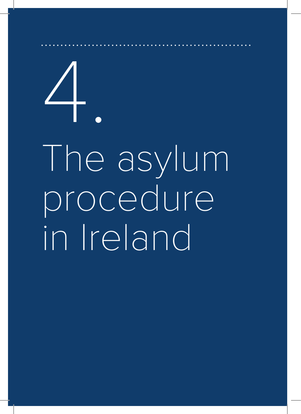# 4. The asylum procedure in Ireland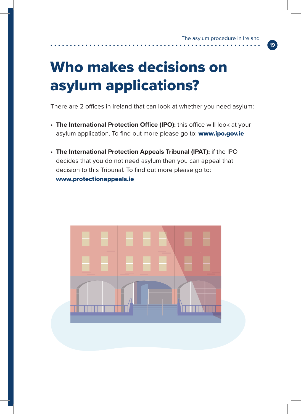# Who makes decisions on asylum applications?

There are 2 offices in Ireland that can look at whether you need asylum:

- **The International Protection Office (IPO):** this office will look at your asylum application. To find out more please go to: www.ipo.gov.ie
- **The International Protection Appeals Tribunal (IPAT):** if the IPO decides that you do not need asylum then you can appeal that decision to this Tribunal. To find out more please go to: www.protectionappeals.ie

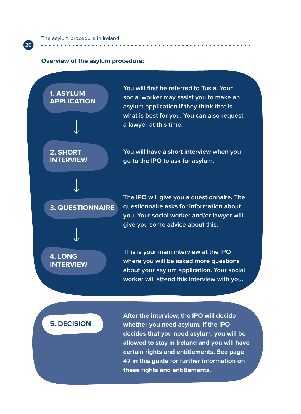#### **Overview of the asylum procedure:**



**You will first be referred to Tusla. Your social worker may assist you to make an asylum application if they think that is what is best for you. You can also request a lawyer at this time.**

**You will have a short interview when you go to the IPO to ask for asylum.** 

**The IPO will give you a questionnaire. The questionnaire asks for information about you. Your social worker and/or lawyer will give you some advice about this.**

**This is your main interview at the IPO where you will be asked more questions about your asylum application. Your social worker will attend this interview with you.** 

### **5. DECISION**

**After the interview, the IPO will decide whether you need asylum. If the IPO decides that you need asylum, you will be allowed to stay in Ireland and you will have certain rights and entitlements. See page 47 in this guide for further information on these rights and entitlements.**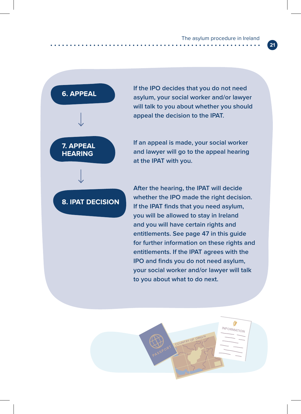The asylum procedure in Ireland

**21**



**If the IPO decides that you do not need asylum, your social worker and/or lawyer will talk to you about whether you should appeal the decision to the IPAT.**

**If an appeal is made, your social worker and lawyer will go to the appeal hearing at the IPAT with you.** 

**After the hearing, the IPAT will decide** 

**whether the IPO made the right decision. If the IPAT finds that you need asylum, you will be allowed to stay in Ireland and you will have certain rights and entitlements. See page 47 in this guide for further information on these rights and entitlements. If the IPAT agrees with the IPO and finds you do not need asylum, your social worker and/or lawyer will talk to you about what to do next.**

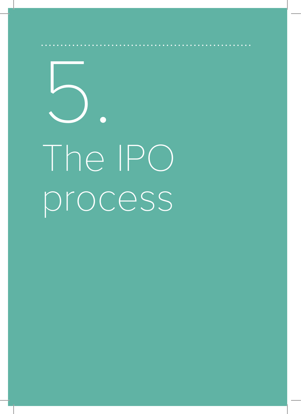# 5. The IPO process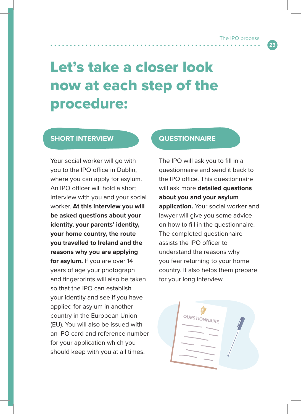

# Let's take a closer look now at each step of the procedure:

## **SHORT INTERVIEW**

Your social worker will go with you to the IPO office in Dublin, where you can apply for asylum. An IPO officer will hold a short interview with you and your social worker. **At this interview you will be asked questions about your identity, your parents' identity, your home country, the route you travelled to Ireland and the reasons why you are applying for asylum.** If you are over 14 years of age your photograph and fingerprints will also be taken so that the IPO can establish your identity and see if you have applied for asylum in another country in the European Union (EU). You will also be issued with an IPO card and reference number for your application which you should keep with you at all times.

### **QUESTIONNAIRE**

The IPO will ask you to fill in a questionnaire and send it back to the IPO office. This questionnaire will ask more **detailed questions about you and your asylum application.** Your social worker and lawyer will give you some advice on how to fill in the questionnaire. The completed questionnaire assists the IPO officer to understand the reasons why you fear returning to your home country. It also helps them prepare for your long interview.

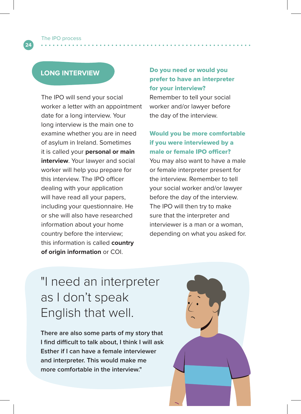The IPO process

### **LONG INTERVIEW**

The IPO will send your social worker a letter with an appointment date for a long interview. Your long interview is the main one to examine whether you are in need of asylum in Ireland. Sometimes it is called your **personal or main interview**. Your lawyer and social worker will help you prepare for this interview. The IPO officer dealing with your application will have read all your papers, including your questionnaire. He or she will also have researched information about your home country before the interview; this information is called **country of origin information** or COI.

## Do you need or would you prefer to have an interpreter for your interview?

Remember to tell your social worker and/or lawyer before the day of the interview.

## Would you be more comfortable if you were interviewed by a male or female IPO officer?

You may also want to have a male or female interpreter present for the interview. Remember to tell your social worker and/or lawyer before the day of the interview. The IPO will then try to make sure that the interpreter and interviewer is a man or a woman, depending on what you asked for.

## "I need an interpreter as I don't speak English that well.

**There are also some parts of my story that I find difficult to talk about, I think I will ask Esther if I can have a female interviewer and interpreter. This would make me more comfortable in the interview."**



**24**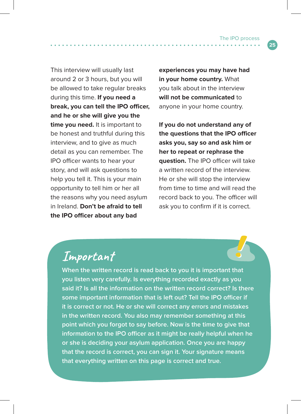This interview will usually last around 2 or 3 hours, but you will be allowed to take regular breaks during this time. **If you need a break, you can tell the IPO officer, and he or she will give you the time you need.** It is important to be honest and truthful during this interview, and to give as much detail as you can remember. The IPO officer wants to hear your story, and will ask questions to help you tell it. This is your main opportunity to tell him or her all the reasons why you need asylum in Ireland. **Don't be afraid to tell the IPO officer about any bad** 

**experiences you may have had in your home country.** What you talk about in the interview **will not be communicated** to anyone in your home country.

**If you do not understand any of the questions that the IPO officer asks you, say so and ask him or her to repeat or rephrase the question.** The IPO officer will take a written record of the interview. He or she will stop the interview from time to time and will read the record back to you. The officer will ask you to confirm if it is correct.

## **Important**

**When the written record is read back to you it is important that you listen very carefully. Is everything recorded exactly as you said it? Is all the information on the written record correct? Is there some important information that is left out? Tell the IPO officer if it is correct or not. He or she will correct any errors and mistakes in the written record. You also may remember something at this point which you forgot to say before. Now is the time to give that information to the IPO officer as it might be really helpful when he or she is deciding your asylum application. Once you are happy that the record is correct, you can sign it. Your signature means that everything written on this page is correct and true.** 

**25**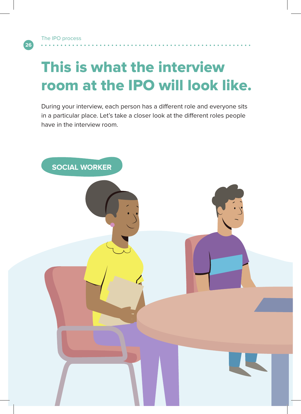# This is what the interview room at the IPO will look like.

During your interview, each person has a different role and everyone sits in a particular place. Let's take a closer look at the different roles people have in the interview room.

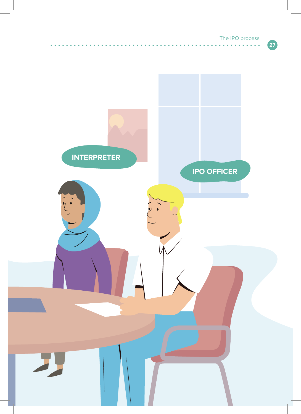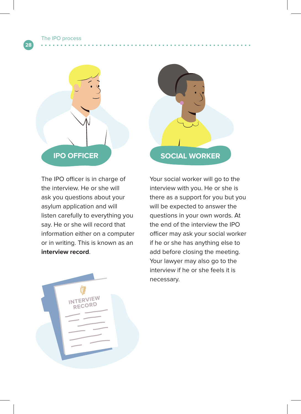The IPO process



The IPO officer is in charge of the interview. He or she will ask you questions about your asylum application and will listen carefully to everything you say. He or she will record that information either on a computer or in writing. This is known as an **interview record**.



Your social worker will go to the interview with you. He or she is there as a support for you but you will be expected to answer the questions in your own words. At the end of the interview the IPO officer may ask your social worker if he or she has anything else to add before closing the meeting. Your lawyer may also go to the interview if he or she feels it is necessary.



**28**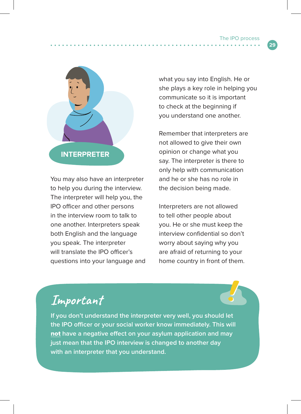#### The IPO process

**29**



You may also have an interpreter to help you during the interview. The interpreter will help you, the IPO officer and other persons in the interview room to talk to one another. Interpreters speak both English and the language you speak. The interpreter will translate the IPO officer's questions into your language and what you say into English. He or she plays a key role in helping you communicate so it is important to check at the beginning if you understand one another.

Remember that interpreters are not allowed to give their own opinion or change what you say. The interpreter is there to only help with communication and he or she has no role in the decision being made.

Interpreters are not allowed to tell other people about you. He or she must keep the interview confidential so don't worry about saying why you are afraid of returning to your home country in front of them.

## **Important**

**If you don't understand the interpreter very well, you should let the IPO officer or your social worker know immediately. This will**  not **have a negative effect on your asylum application and may just mean that the IPO interview is changed to another day with an interpreter that you understand.**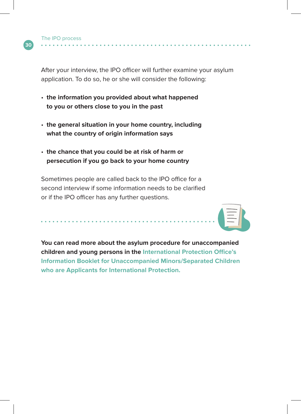After your interview, the IPO officer will further examine your asylum application. To do so, he or she will consider the following:

- **the information you provided about what happened to you or others close to you in the past**
- **the general situation in your home country, including what the country of origin information says**
- **the chance that you could be at risk of harm or persecution if you go back to your home country**

Sometimes people are called back to the IPO office for a second interview if some information needs to be clarified or if the IPO officer has any further questions.

**You can read more about the asylum procedure for unaccompanied children and young persons in the International Protection Office's Information Booklet for Unaccompanied Minors/Separated Children who are Applicants for International Protection.**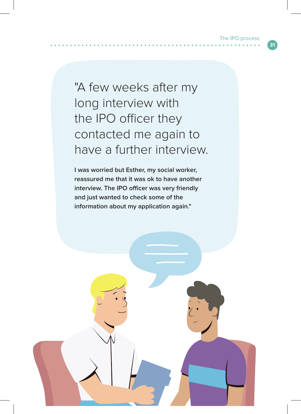"A few weeks after my long interview with the IPO officer they contacted me again to have a further interview.

**I was worried but Esther, my social worker, reassured me that it was ok to have another interview. The IPO officer was very friendly and just wanted to check some of the information about my application again."**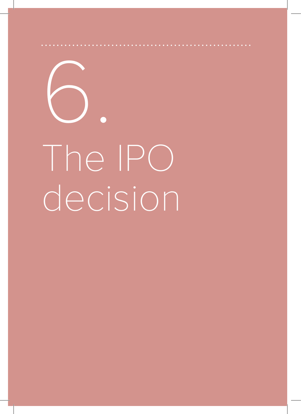# 6. The IPO decision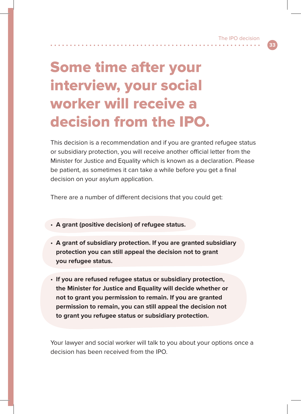# Some time after your interview, your social worker will receive a decision from the IPO.

This decision is a recommendation and if you are granted refugee status or subsidiary protection, you will receive another official letter from the Minister for Justice and Equality which is known as a declaration. Please be patient, as sometimes it can take a while before you get a final decision on your asylum application.

There are a number of different decisions that you could get:

- **A grant (positive decision) of refugee status.**
- **A grant of subsidiary protection. If you are granted subsidiary protection you can still appeal the decision not to grant you refugee status.**
- **If you are refused refugee status or subsidiary protection, the Minister for Justice and Equality will decide whether or not to grant you permission to remain. If you are granted permission to remain, you can still appeal the decision not to grant you refugee status or subsidiary protection.**

Your lawyer and social worker will talk to you about your options once a decision has been received from the IPO.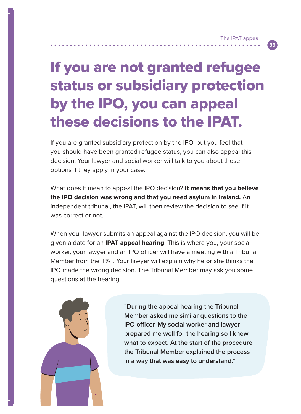# If you are not granted refugee status or subsidiary protection by the IPO, you can appeal these decisions to the IPAT.

If you are granted subsidiary protection by the IPO, but you feel that you should have been granted refugee status, you can also appeal this decision. Your lawyer and social worker will talk to you about these options if they apply in your case.

What does it mean to appeal the IPO decision? **It means that you believe the IPO decision was wrong and that you need asylum in Ireland.** An independent tribunal, the IPAT, will then review the decision to see if it was correct or not.

When your lawyer submits an appeal against the IPO decision, you will be given a date for an **IPAT appeal hearing**. This is where you, your social worker, your lawyer and an IPO officer will have a meeting with a Tribunal Member from the IPAT. Your lawyer will explain why he or she thinks the IPO made the wrong decision. The Tribunal Member may ask you some questions at the hearing.



**"During the appeal hearing the Tribunal Member asked me similar questions to the IPO officer. My social worker and lawyer prepared me well for the hearing so I knew what to expect. At the start of the procedure the Tribunal Member explained the process in a way that was easy to understand."**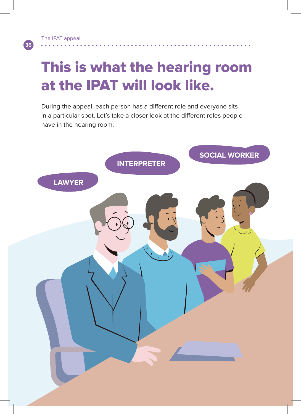# This is what the hearing room at the IPAT will look like.

During the appeal, each person has a different role and everyone sits in a particular spot. Let's take a closer look at the different roles people have in the hearing room.



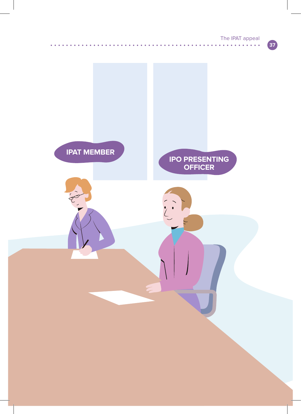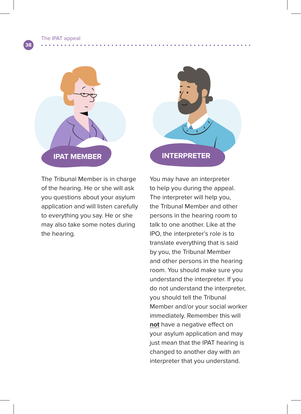**38**



The Tribunal Member is in charge of the hearing. He or she will ask you questions about your asylum application and will listen carefully to everything you say. He or she may also take some notes during the hearing.



You may have an interpreter to help you during the appeal. The interpreter will help you, the Tribunal Member and other persons in the hearing room to talk to one another. Like at the IPO, the interpreter's role is to translate everything that is said by you, the Tribunal Member and other persons in the hearing room. You should make sure you understand the interpreter. If you do not understand the interpreter, you should tell the Tribunal Member and/or your social worker immediately. Remember this will **not** have a negative effect on your asylum application and may just mean that the IPAT hearing is changed to another day with an interpreter that you understand.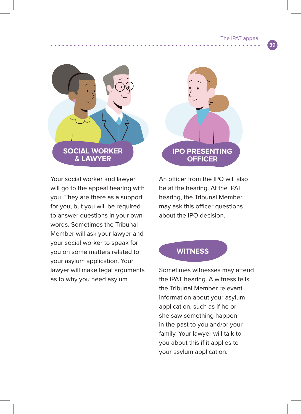

Your social worker and lawyer will go to the appeal hearing with you. They are there as a support for you, but you will be required to answer questions in your own words. Sometimes the Tribunal Member will ask your lawyer and your social worker to speak for you on some matters related to your asylum application. Your lawyer will make legal arguments as to why you need asylum.



An officer from the IPO will also be at the hearing. At the IPAT hearing, the Tribunal Member may ask this officer questions about the IPO decision.

### **WITNESS**

Sometimes witnesses may attend the IPAT hearing. A witness tells the Tribunal Member relevant information about your asylum application, such as if he or she saw something happen in the past to you and/or your family. Your lawyer will talk to you about this if it applies to your asylum application.

**39**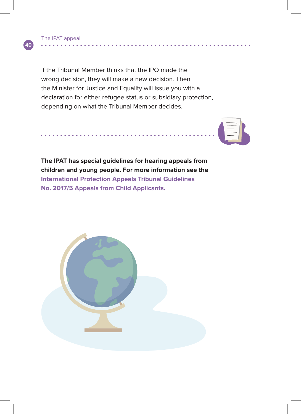If the Tribunal Member thinks that the IPO made the wrong decision, they will make a new decision. Then the Minister for Justice and Equality will issue you with a declaration for either refugee status or subsidiary protection, depending on what the Tribunal Member decides.



**The IPAT has special guidelines for hearing appeals from children and young people. For more information see the International Protection Appeals Tribunal Guidelines No. 2017/5 Appeals from Child Applicants.**



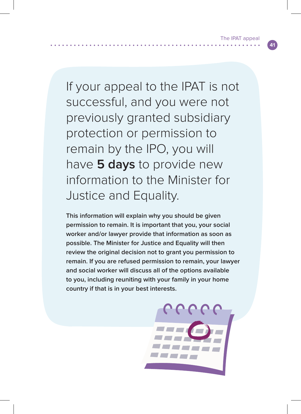If your appeal to the IPAT is not successful, and you were not previously granted subsidiary protection or permission to remain by the IPO, you will have **5 days** to provide new information to the Minister for Justice and Equality.

**This information will explain why you should be given permission to remain. It is important that you, your social worker and/or lawyer provide that information as soon as possible. The Minister for Justice and Equality will then review the original decision not to grant you permission to remain. If you are refused permission to remain, your lawyer and social worker will discuss all of the options available to you, including reuniting with your family in your home country if that is in your best interests.** 

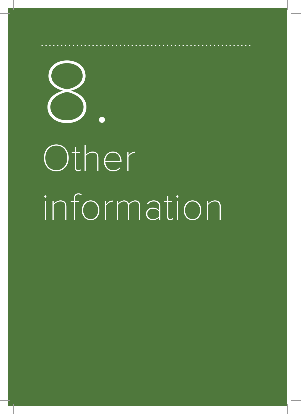# 8. Other information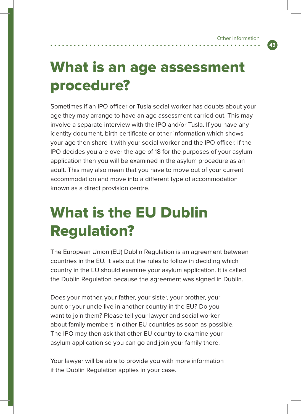

# What is an age assessment procedure?

Sometimes if an IPO officer or Tusla social worker has doubts about your age they may arrange to have an age assessment carried out. This may involve a separate interview with the IPO and/or Tusla. If you have any identity document, birth certificate or other information which shows your age then share it with your social worker and the IPO officer. If the IPO decides you are over the age of 18 for the purposes of your asylum application then you will be examined in the asylum procedure as an adult. This may also mean that you have to move out of your current accommodation and move into a different type of accommodation known as a direct provision centre.

# What is the EU Dublin Regulation?

The European Union (EU) Dublin Regulation is an agreement between countries in the EU. It sets out the rules to follow in deciding which country in the EU should examine your asylum application. It is called the Dublin Regulation because the agreement was signed in Dublin.

Does your mother, your father, your sister, your brother, your aunt or your uncle live in another country in the EU? Do you want to join them? Please tell your lawyer and social worker about family members in other EU countries as soon as possible. The IPO may then ask that other EU country to examine your asylum application so you can go and join your family there.

Your lawyer will be able to provide you with more information if the Dublin Regulation applies in your case.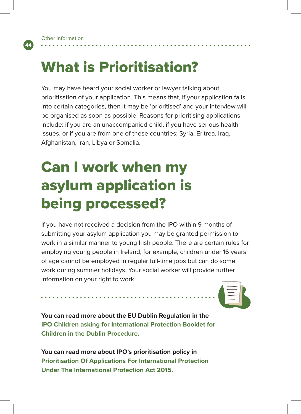# What is Prioritisation?

You may have heard your social worker or lawyer talking about prioritisation of your application. This means that, if your application falls into certain categories, then it may be 'prioritised' and your interview will be organised as soon as possible. Reasons for prioritising applications include: if you are an unaccompanied child, if you have serious health issues, or if you are from one of these countries: Syria, Eritrea, Iraq, Afghanistan, Iran, Libya or Somalia.

# Can I work when my asylum application is being processed?

If you have not received a decision from the IPO within 9 months of submitting your asylum application you may be granted permission to work in a similar manner to young Irish people. There are certain rules for employing young people in Ireland, for example, children under 16 years of age cannot be employed in regular full-time jobs but can do some work during summer holidays. Your social worker will provide further information on your right to work.



**You can read more about the EU Dublin Regulation in the IPO Children asking for International Protection Booklet for Children in the Dublin Procedure.**

**You can read more about IPO's prioritisation policy in Prioritisation Of Applications For International Protection Under The International Protection Act 2015.**

**44**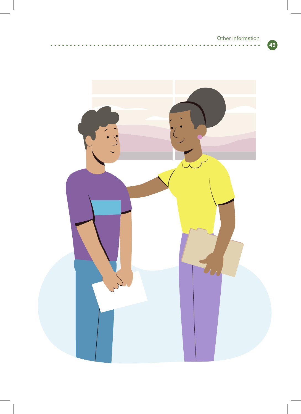Other information

 $\overline{\phantom{a}}$ 





**45**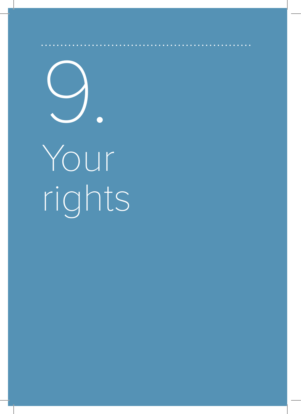9. Your rights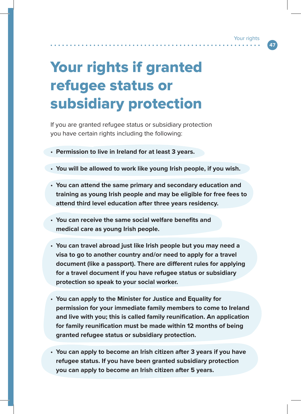Your rights

# Your rights if granted refugee status or subsidiary protection

If you are granted refugee status or subsidiary protection you have certain rights including the following:

- **Permission to live in Ireland for at least 3 years.**
- **You will be allowed to work like young Irish people, if you wish.**
- **You can attend the same primary and secondary education and training as young Irish people and may be eligible for free fees to attend third level education after three years residency.**
- **You can receive the same social welfare benefits and medical care as young Irish people.**
- **You can travel abroad just like Irish people but you may need a visa to go to another country and/or need to apply for a travel document (like a passport). There are different rules for applying for a travel document if you have refugee status or subsidiary protection so speak to your social worker.**
- **You can apply to the Minister for Justice and Equality for permission for your immediate family members to come to Ireland and live with you; this is called family reunification. An application for family reunification must be made within 12 months of being granted refugee status or subsidiary protection.**
- **You can apply to become an Irish citizen after 3 years if you have refugee status. If you have been granted subsidiary protection you can apply to become an Irish citizen after 5 years.**

**47**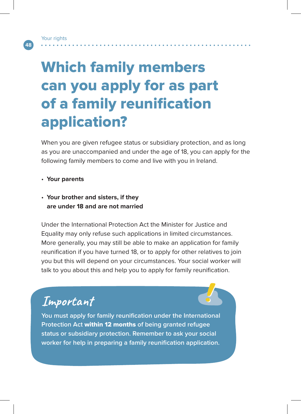Your rights

# Which family members can you apply for as part of a family reunification application?

When you are given refugee status or subsidiary protection, and as long as you are unaccompanied and under the age of 18, you can apply for the following family members to come and live with you in Ireland.

- **Your parents**
- **Your brother and sisters, if they are under 18 and are not married**

Under the International Protection Act the Minister for Justice and Equality may only refuse such applications in limited circumstances. More generally, you may still be able to make an application for family reunification if you have turned 18, or to apply for other relatives to join you but this will depend on your circumstances. Your social worker will talk to you about this and help you to apply for family reunification.

## **Important**

**You must apply for family reunification under the International Protection Act** within 12 months **of being granted refugee status or subsidiary protection. Remember to ask your social worker for help in preparing a family reunification application.** 

**48**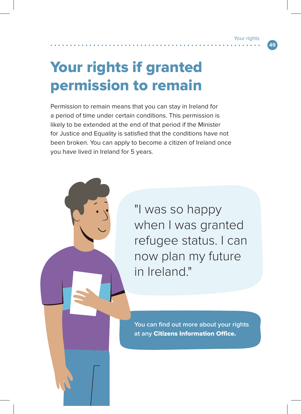# Your rights if granted permission to remain

Permission to remain means that you can stay in Ireland for a period of time under certain conditions. This permission is likely to be extended at the end of that period if the Minister for Justice and Equality is satisfied that the conditions have not been broken. You can apply to become a citizen of Ireland once you have lived in Ireland for 5 years.

> "I was so happy when I was granted refugee status. I can now plan my future in Ireland."

> **You can find out more about your rights at any** Citizens Information Office.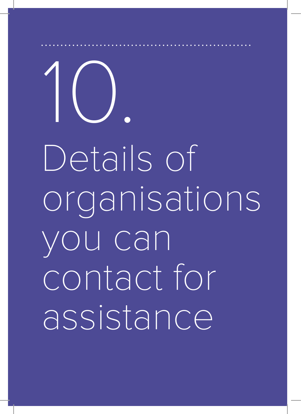# 10. Details of organisations you can contact for assistance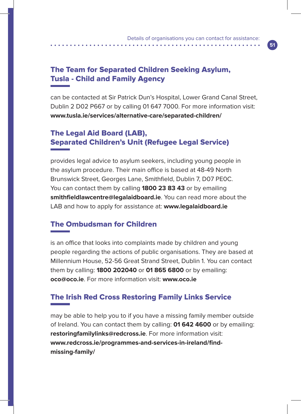## The Team for Separated Children Seeking Asylum, Tusla - Child and Family Agency

can be contacted at Sir Patrick Dun's Hospital, Lower Grand Canal Street, Dublin 2 D02 P667 or by calling 01 647 7000. For more information visit: **www.tusla.ie/services/alternative-care/separated-children/** 

## The Legal Aid Board (LAB), Separated Children's Unit (Refugee Legal Service)

provides legal advice to asylum seekers, including young people in the asylum procedure. Their main office is based at 48-49 North Brunswick Street, Georges Lane, Smithfield, Dublin 7, D07 PE0C. You can contact them by calling **1800 23 83 43** or by emailing **smithfieldlawcentre@legalaidboard.ie**. You can read more about the LAB and how to apply for assistance at: **www.legalaidboard.ie**

## The Ombudsman for Children

is an office that looks into complaints made by children and young people regarding the actions of public organisations. They are based at Millennium House, 52-56 Great Strand Street, Dublin 1. You can contact them by calling: **1800 202040** or **01 865 6800** or by emailing: **oco@oco.ie**. For more information visit: **www.oco.ie**

## The Irish Red Cross Restoring Family Links Service

may be able to help you to if you have a missing family member outside of Ireland. You can contact them by calling: **01 642 4600** or by emailing: **restoringfamilylinks@redcross.ie**. For more information visit: **www.redcross.ie/programmes-and-services-in-ireland/findmissing-family/**

**51**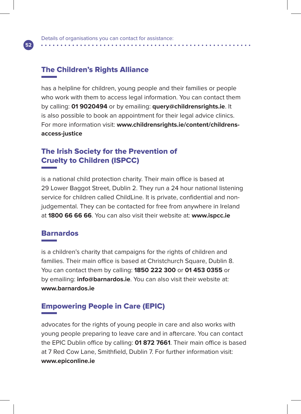Details of organisations you can contact for assistance:

## The Children's Rights Alliance

has a helpline for children, young people and their families or people who work with them to access legal information. You can contact them by calling: **01 9020494** or by emailing: **query@childrensrights.ie**. It is also possible to book an appointment for their legal advice clinics. For more information visit: **www.childrensrights.ie/content/childrensaccess-justice** 

. . . . . . . . . . . . . . .

## The Irish Society for the Prevention of Cruelty to Children (ISPCC)

is a national child protection charity. Their main office is based at 29 Lower Baggot Street, Dublin 2. They run a 24 hour national listening service for children called ChildLine. It is private, confidential and nonjudgemental. They can be contacted for free from anywhere in Ireland at **1800 66 66 66**. You can also visit their website at: **www.ispcc.ie**

### Barnardos

is a children's charity that campaigns for the rights of children and families. Their main office is based at Christchurch Square, Dublin 8. You can contact them by calling: **1850 222 300** or **01 453 0355** or by emailing: **info@barnardos.ie**. You can also visit their website at: **www.barnardos.ie** 

## Empowering People in Care (EPIC)

advocates for the rights of young people in care and also works with young people preparing to leave care and in aftercare. You can contact the EPIC Dublin office by calling: **01 872 7661**. Their main office is based at 7 Red Cow Lane, Smithfield, Dublin 7. For further information visit: **www.epiconline.ie**

**52**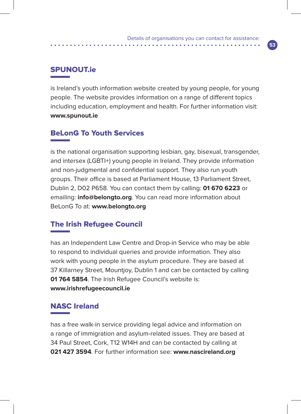## SPUNOUT.ie

is Ireland's youth information website created by young people, for young people. The website provides information on a range of different topics including education, employment and health. For further information visit: **www.spunout.ie**

## BeLonG To Youth Services

is the national organisation supporting lesbian, gay, bisexual, transgender, and intersex (LGBTI+) young people in Ireland. They provide information and non-judgmental and confidential support. They also run youth groups. Their office is based at Parliament House, 13 Parliament Street, Dublin 2, D02 P658. You can contact them by calling: **01 670 6223** or emailing: **info@belongto.org**. You can read more information about BeLonG To at: **www.belongto.org**

## The Irish Refugee Council

has an Independent Law Centre and Drop-in Service who may be able to respond to individual queries and provide information. They also work with young people in the asylum procedure. They are based at 37 Killarney Street, Mountjoy, Dublin 1 and can be contacted by calling **01 764 5854**. The Irish Refugee Council's website is: **www.irishrefugeecouncil.ie**

## NASC Ireland

has a free walk-in service providing legal advice and information on a range of immigration and asylum-related issues. They are based at 34 Paul Street, Cork, T12 W14H and can be contacted by calling at **021 427 3594**. For further information see: **www.nascireland.org**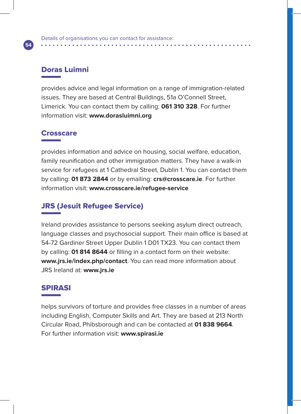Details of organisations you can contact for assistance:

## Doras Luimni

provides advice and legal information on a range of immigration-related issues. They are based at Central Buildings, 51a O'Connell Street, Limerick. You can contact them by calling: **061 310 328**. For further information visit: **www.dorasluimni.org**

### **Crosscare**

provides information and advice on housing, social welfare, education, family reunification and other immigration matters. They have a walk-in service for refugees at 1 Cathedral Street, Dublin 1. You can contact them by calling: **01 873 2844** or by emailing: **crs@crosscare.ie**. For further information visit: **www.crosscare.ie/refugee-service** 

## JRS (Jesuit Refugee Service)

Ireland provides assistance to persons seeking asylum direct outreach, language classes and psychosocial support. Their main office is based at 54-72 Gardiner Street Upper Dublin 1 D01 TX23. You can contact them by calling: **01 814 8644** or filling in a contact form on their website: **www.jrs.ie/index.php/contact**. You can read more information about JRS Ireland at: **www.jrs.ie**

## SPIRASI

helps survivors of torture and provides free classes in a number of areas including English, Computer Skills and Art. They are based at 213 North Circular Road, Phibsborough and can be contacted at **01 838 9664**. For further information visit: **www.spirasi.ie**

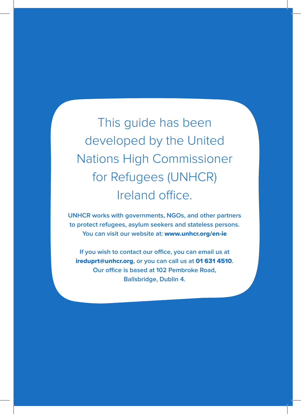This guide has been developed by the United Nations High Commissioner for Refugees (UNHCR) Ireland office.

**UNHCR works with governments, NGOs, and other partners to protect refugees, asylum seekers and stateless persons.**  You can visit our website at: **www.unhcr.org/en-ie** 

**If you wish to contact our office, you can email us at**  ireduprt@unhcr.org**, or you can call us at** 01 631 4510**. Our office is based at 102 Pembroke Road, Ballsbridge, Dublin 4.**